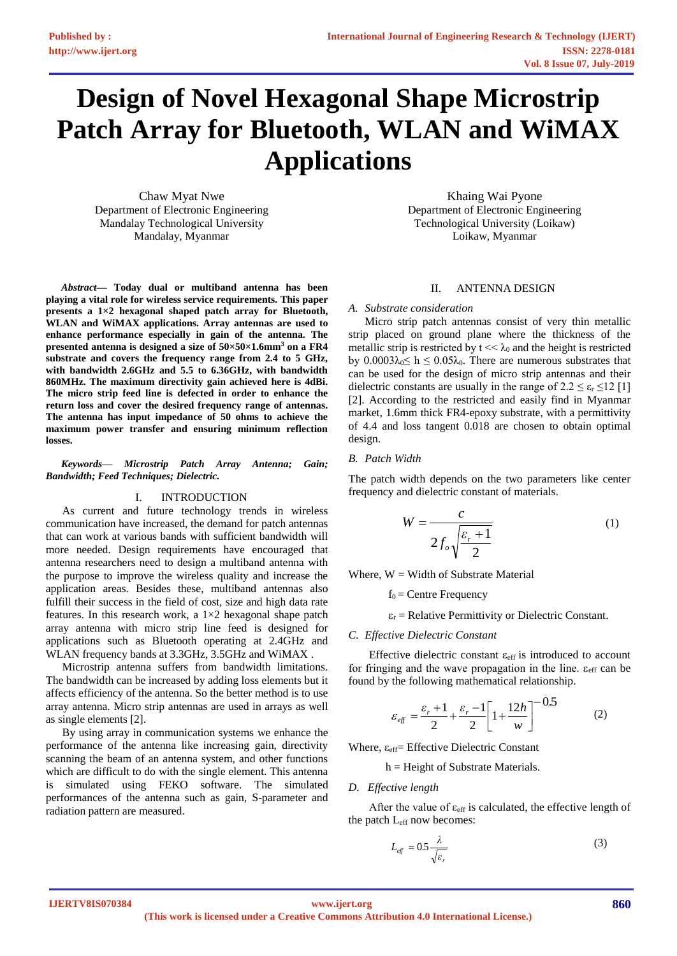# **Design of Novel Hexagonal Shape Microstrip Patch Array for Bluetooth, WLAN and WiMAX Applications**

Chaw Myat Nwe Department of Electronic Engineering Mandalay Technological University Mandalay, Myanmar

*Abstract***— Today dual or multiband antenna has been playing a vital role for wireless service requirements. This paper presents a 1×2 hexagonal shaped patch array for Bluetooth, WLAN and WiMAX applications. Array antennas are used to enhance performance especially in gain of the antenna. The presented antenna is designed a size of 50×50×1.6mm<sup>3</sup> on a FR4 substrate and covers the frequency range from 2.4 to 5 GHz, with bandwidth 2.6GHz and 5.5 to 6.36GHz, with bandwidth 860MHz. The maximum directivity gain achieved here is 4dBi. The micro strip feed line is defected in order to enhance the return loss and cover the desired frequency range of antennas. The antenna has input impedance of 50 ohms to achieve the maximum power transfer and ensuring minimum reflection losses.**

*Keywords— Microstrip Patch Array Antenna; Gain; Bandwidth; Feed Techniques; Dielectric.*

## I. INTRODUCTION

As current and future technology trends in wireless communication have increased, the demand for patch antennas that can work at various bands with sufficient bandwidth will more needed. Design requirements have encouraged that antenna researchers need to design a multiband antenna with the purpose to improve the wireless quality and increase the application areas. Besides these, multiband antennas also fulfill their success in the field of cost, size and high data rate features. In this research work, a  $1\times 2$  hexagonal shape patch array antenna with micro strip line feed is designed for applications such as Bluetooth operating at 2.4GHz and WLAN frequency bands at 3.3GHz, 3.5GHz and WiMAX .

Microstrip antenna suffers from bandwidth limitations. The bandwidth can be increased by adding loss elements but it affects efficiency of the antenna. So the better method is to use array antenna. Micro strip antennas are used in arrays as well as single elements [2].

By using array in communication systems we enhance the performance of the antenna like increasing gain, directivity scanning the beam of an antenna system, and other functions which are difficult to do with the single element. This antenna is simulated using FEKO software. The simulated performances of the antenna such as gain, S-parameter and radiation pattern are measured.

Khaing Wai Pyone Department of Electronic Engineering Technological University (Loikaw) Loikaw, Myanmar

## II. ANTENNA DESIGN

## *A. Substrate consideration*

Micro strip patch antennas consist of very thin metallic strip placed on ground plane where the thickness of the metallic strip is restricted by  $t \ll \lambda_0$  and the height is restricted by  $0.0003\lambda_0 \leq h \leq 0.05\lambda_0$ . There are numerous substrates that can be used for the design of micro strip antennas and their dielectric constants are usually in the range of  $2.2 \le \varepsilon_r \le 12$  [1] [2]. According to the restricted and easily find in Myanmar market, 1.6mm thick FR4-epoxy substrate, with a permittivity of 4.4 and loss tangent 0.018 are chosen to obtain optimal design.

## *B. Patch Width*

The patch width depends on the two parameters like center frequency and dielectric constant of materials.

$$
W = \frac{c}{2f_o\sqrt{\frac{\varepsilon_r + 1}{2}}}
$$
 (1)

Where,  $W = Width of Substrate Material$ 

 $f_0$  = Centre Frequency

 $\varepsilon_r$  = Relative Permittivity or Dielectric Constant.

## *C. Effective Dielectric Constant*

Effective dielectric constant εeff is introduced to account for fringing and the wave propagation in the line.  $\varepsilon_{\text{eff}}$  can be found by the following mathematical relationship.

$$
\varepsilon_{\text{eff}} = \frac{\varepsilon_r + 1}{2} + \frac{\varepsilon_r - 1}{2} \left[ 1 + \frac{12h}{w} \right]^{-0.5} \tag{2}
$$

Where,  $\varepsilon_{\text{eff}}$  Effective Dielectric Constant

h = Height of Substrate Materials.

## *D. Effective length*

After the value of  $\varepsilon_{\text{eff}}$  is calculated, the effective length of the patch L<sub>eff</sub> now becomes:

$$
L_{\text{eff}} = 0.5 \frac{\lambda}{\sqrt{\varepsilon_r}} \tag{3}
$$

**IJERTV8IS070384**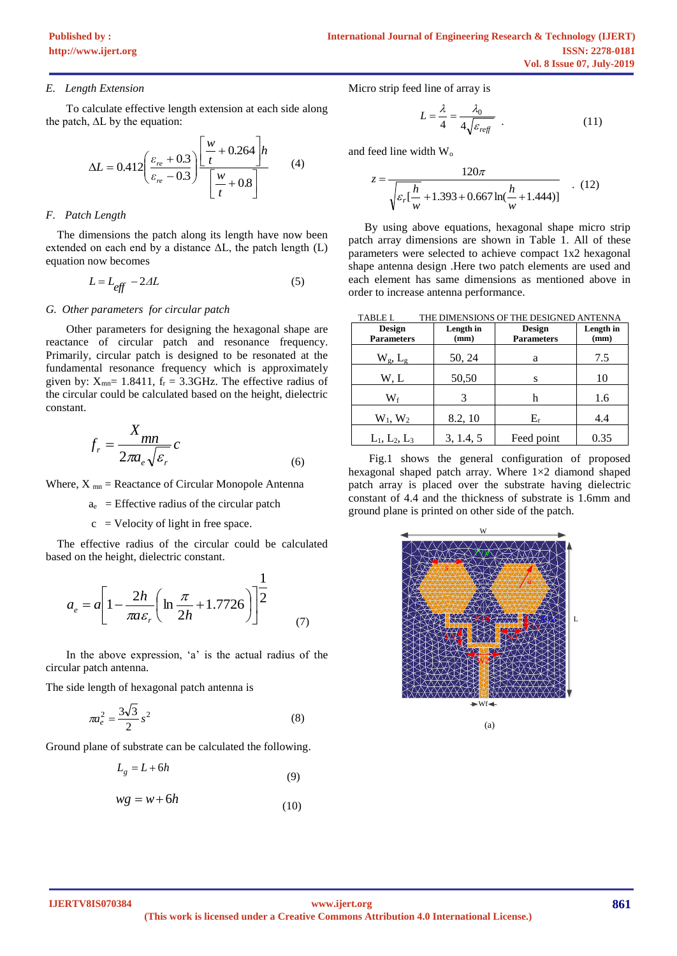# *E. Length Extension*

To calculate effective length extension at each side along the patch, ∆L by the equation:

$$
\Delta L = 0.412 \left( \frac{\varepsilon_{re} + 0.3}{\varepsilon_{re} - 0.3} \right) \frac{\left[ \frac{w}{t} + 0.264 \right] h}{\left[ \frac{w}{t} + 0.8 \right]}
$$
(4)

# *F. Patch Length*

 The dimensions the patch along its length have now been extended on each end by a distance  $\Delta L$ , the patch length (L) equation now becomes

$$
L = L_{eff} - 2\Delta L \tag{5}
$$

# *G. Other parameters for circular patch*

Other parameters for designing the hexagonal shape are reactance of circular patch and resonance frequency. Primarily, circular patch is designed to be resonated at the fundamental resonance frequency which is approximately given by:  $X_{mn}$ = 1.8411,  $f_r$  = 3.3GHz. The effective radius of the circular could be calculated based on the height, dielectric constant.

$$
f_r = \frac{X_{mn}}{2\pi a_e \sqrt{\varepsilon_r}} c
$$
\n(6)

Where,  $X_{mn}$  = Reactance of Circular Monopole Antenna

 $a_e$  = Effective radius of the circular patch

 $c =$  Velocity of light in free space.

 The effective radius of the circular could be calculated based on the height, dielectric constant.

$$
a_e = a \left[ 1 - \frac{2h}{\pi a \varepsilon_r} \left( \ln \frac{\pi}{2h} + 1.7726 \right) \right]^{\frac{1}{2}}
$$
 (7)

In the above expression, 'a' is the actual radius of the circular patch antenna.

The side length of hexagonal patch antenna is

$$
\pi a_e^2 = \frac{3\sqrt{3}}{2} s^2
$$
 (8)

Ground plane of substrate can be calculated the following.

$$
L_g = L + 6h\tag{9}
$$

$$
wg = w + 6h \tag{10}
$$

Micro strip feed line of array is

$$
L = \frac{\lambda}{4} = \frac{\lambda_0}{4\sqrt{\varepsilon_{\text{refr}}}} \tag{11}
$$

and feed line width  $W_0$ 

$$
z = \frac{120\pi}{\sqrt{\varepsilon_r \left[\frac{h}{w} + 1.393 + 0.667 \ln\left(\frac{h}{w} + 1.444\right)\right]}} \quad . \tag{12}
$$

By using above equations, hexagonal shape micro strip patch array dimensions are shown in Table 1. All of these parameters were selected to achieve compact 1x2 hexagonal shape antenna design .Here two patch elements are used and each element has same dimensions as mentioned above in order to increase antenna performance.

| <b>TABLE I.</b>   | THE DIMENSIONS OF THE DESIGNED ANTENNA |                   |           |
|-------------------|----------------------------------------|-------------------|-----------|
| Design            | Length in                              | Design            | Length in |
| <b>Parameters</b> | (mm)                                   | <b>Parameters</b> | (mm)      |
| $W_g$ , $L_g$     | 50, 24                                 | a                 | 7.5       |
| W, L              | 50,50                                  | S                 | 10        |
| $\mathrm{W_{f}}$  |                                        |                   | 1.6       |
| $W_1, W_2$        | 8.2, 10                                | $E_r$             | 4.4       |
| $L_1, L_2, L_3$   | 3, 1.4, 5                              | Feed point        | 0.35      |

Fig.1 shows the general configuration of proposed hexagonal shaped patch array. Where 1×2 diamond shaped patch array is placed over the substrate having dielectric constant of 4.4 and the thickness of substrate is 1.6mm and ground plane is printed on other side of the patch.

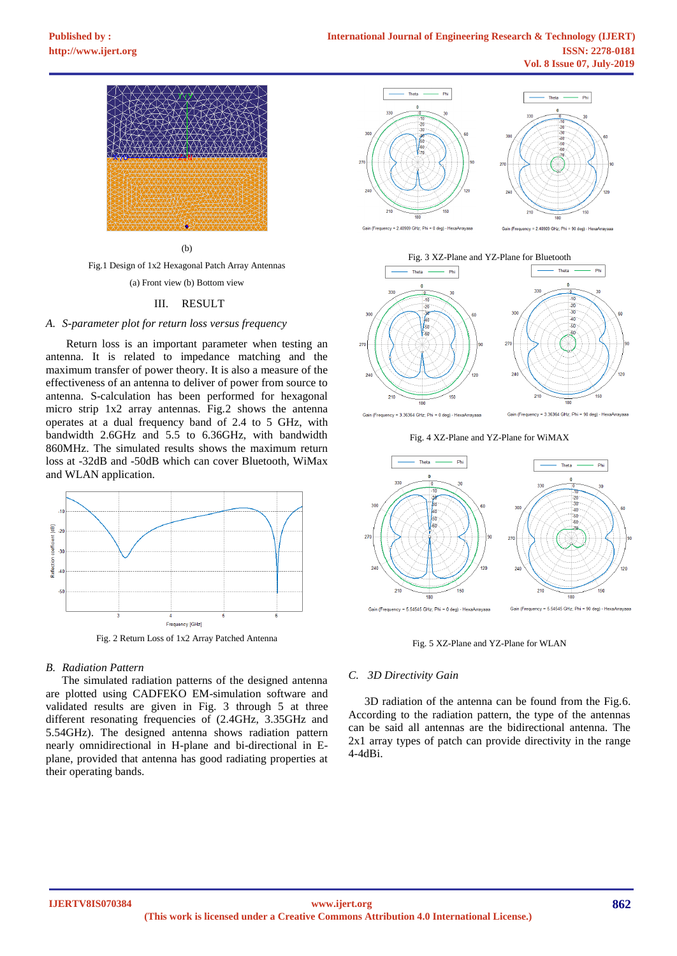

(b)

Fig.1 Design of 1x2 Hexagonal Patch Array Antennas (a) Front view (b) Bottom view

## III. RESULT

## *A. S-parameter plot for return loss versus frequency*

Return loss is an important parameter when testing an antenna. It is related to impedance matching and the maximum transfer of power theory. It is also a measure of the effectiveness of an antenna to deliver of power from source to antenna. S-calculation has been performed for hexagonal micro strip 1x2 array antennas. Fig.2 shows the antenna operates at a dual frequency band of 2.4 to 5 GHz, with bandwidth 2.6GHz and 5.5 to 6.36GHz, with bandwidth 860MHz. The simulated results shows the maximum return loss at -32dB and -50dB which can cover Bluetooth, WiMax and WLAN application.



## *B. Radiation Pattern*

The simulated radiation patterns of the designed antenna are plotted using CADFEKO EM-simulation software and validated results are given in Fig. 3 through 5 at three different resonating frequencies of (2.4GHz, 3.35GHz and 5.54GHz). The designed antenna shows radiation pattern nearly omnidirectional in H-plane and bi-directional in Eplane, provided that antenna has good radiating properties at their operating bands.



Fig. 3 XZ-Plane and YZ-Plane for Bluetooth **Theta** Phi



Fig. 4 XZ-Plane and YZ-Plane for WiMAX



## Fig. 5 XZ-Plane and YZ-Plane for WLAN

## *C. 3D Directivity Gain*

3D radiation of the antenna can be found from the Fig.6. According to the radiation pattern, the type of the antennas can be said all antennas are the bidirectional antenna. The 2x1 array types of patch can provide directivity in the range 4-4dBi.